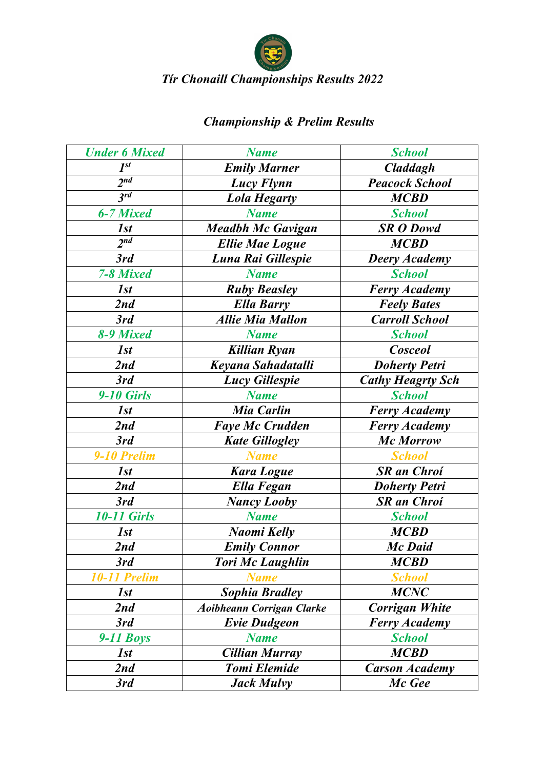

# *Championship & Prelim Results*

| <b>Under 6 Mixed</b> | <b>Name</b>                      | <b>School</b>            |
|----------------------|----------------------------------|--------------------------|
| $I^{st}$             | <b>Emily Marner</b>              | <b>Claddagh</b>          |
| 2 <sup>nd</sup>      | Lucy Flynn                       | <b>Peacock School</b>    |
| $3^{rd}$             | <b>Lola Hegarty</b>              | <b>MCBD</b>              |
| 6-7 Mixed            | <b>Name</b>                      | <b>School</b>            |
| 1st                  | <b>Meadbh Mc Gavigan</b>         | <b>SR O Dowd</b>         |
| 2 <sup>nd</sup>      | <b>Ellie Mae Logue</b>           | <b>MCBD</b>              |
| 3rd                  | Luna Rai Gillespie               | <b>Deery Academy</b>     |
| 7-8 Mixed            | <b>Name</b>                      | <b>School</b>            |
| 1st                  | <b>Ruby Beasley</b>              | <b>Ferry Academy</b>     |
| 2nd                  | <b>Ella Barry</b>                | <b>Feely Bates</b>       |
| 3rd                  | <b>Allie Mia Mallon</b>          | <b>Carroll School</b>    |
| 8-9 Mixed            | <b>Name</b>                      | <b>School</b>            |
| 1st                  | <b>Killian Ryan</b>              | <b>Cosceol</b>           |
| 2nd                  | Keyana Sahadatalli               | <b>Doherty Petri</b>     |
| 3rd                  | <b>Lucy Gillespie</b>            | <b>Cathy Heagrty Sch</b> |
| <b>9-10 Girls</b>    | <b>Name</b>                      | <b>School</b>            |
| 1st                  | <b>Mia Carlin</b>                | <b>Ferry Academy</b>     |
| 2nd                  | <b>Faye Mc Crudden</b>           | <b>Ferry Academy</b>     |
| 3rd                  | <b>Kate Gillogley</b>            | <b>Mc Morrow</b>         |
| 9-10 Prelim          | <b>Name</b>                      | <b>School</b>            |
| 1st                  | <b>Kara Logue</b>                | <b>SR</b> an Chroi       |
| 2nd                  | Ella Fegan                       | <b>Doherty Petri</b>     |
| 3rd                  | <b>Nancy Looby</b>               | <b>SR</b> an Chroi       |
| <b>10-11 Girls</b>   | <b>Name</b>                      | <b>School</b>            |
| 1st                  | Naomi Kelly                      | <b>MCBD</b>              |
| 2nd                  | <b>Emily Connor</b>              | Mc Daid                  |
| 3rd                  | <b>Tori Mc Laughlin</b>          | <b>MCBD</b>              |
| 10-11 Prelim         | <b>Name</b>                      | <b>School</b>            |
| 1st                  | <b>Sophia Bradley</b>            | <b>MCNC</b>              |
| 2nd                  | <b>Aoibheann Corrigan Clarke</b> | <b>Corrigan White</b>    |
| 3rd                  | <b>Evie Dudgeon</b>              | <b>Ferry Academy</b>     |
| $9-11$ Boys          | <b>Name</b>                      | <b>School</b>            |
| 1st                  | <b>Cillian Murray</b>            | <b>MCBD</b>              |
| 2nd                  | <b>Tomi Elemide</b>              | <b>Carson Academy</b>    |
| 3rd                  | <b>Jack Mulvy</b>                | Mc Gee                   |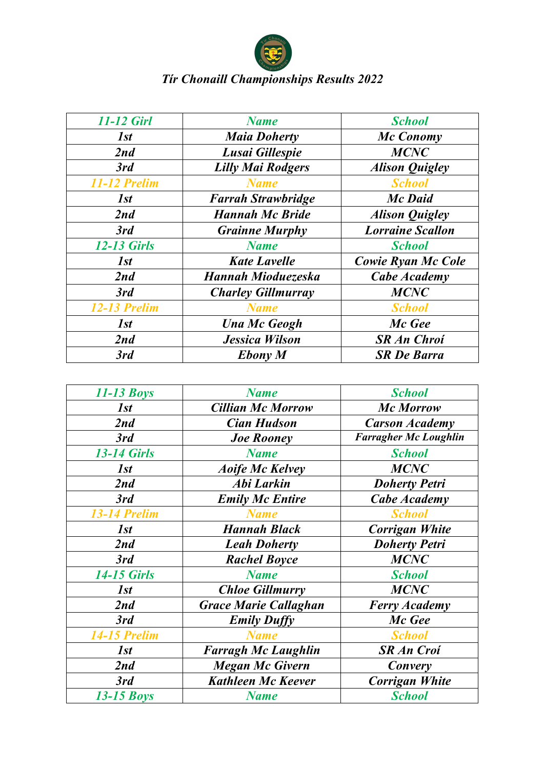

| 11-12 Girl         | <b>Name</b>               | <b>School</b>           |
|--------------------|---------------------------|-------------------------|
| 1st                | <b>Maia Doherty</b>       | Mc Conomy               |
| 2nd                | Lusai Gillespie           | <b>MCNC</b>             |
| 3rd                | <b>Lilly Mai Rodgers</b>  | <b>Alison Quigley</b>   |
| 11-12 Prelim       | <b>Name</b>               | <b>School</b>           |
| 1st                | <b>Farrah Strawbridge</b> | <b>Mc Daid</b>          |
| 2nd                | <b>Hannah Mc Bride</b>    | <b>Alison Quigley</b>   |
| 3rd                | <b>Grainne Murphy</b>     | <b>Lorraine Scallon</b> |
| <b>12-13 Girls</b> | <b>Name</b>               | <b>School</b>           |
| 1st                | <b>Kate Lavelle</b>       | Cowie Ryan Mc Cole      |
| 2nd                | Hannah Mioduezeska        | Cabe Academy            |
| 3rd                | <b>Charley Gillmurray</b> | <b>MCNC</b>             |
| 12-13 Prelim       | <b>Name</b>               | <b>School</b>           |
| 1st                | <b>Una Mc Geogh</b>       | Mc Gee                  |
| 2nd                | <b>Jessica Wilson</b>     | <b>SR An Chroi</b>      |
| 3rd                | <b>Ebony</b> M            | <b>SR De Barra</b>      |

| $11-13$ Boys        | <b>Name</b>                  | <b>School</b>                |
|---------------------|------------------------------|------------------------------|
| 1st                 | <b>Cillian Mc Morrow</b>     | <b>Mc Morrow</b>             |
| 2nd                 | <b>Cian Hudson</b>           | <b>Carson Academy</b>        |
| 3rd                 | <b>Joe Rooney</b>            | <b>Farragher Mc Loughlin</b> |
| <b>13-14 Girls</b>  | <b>Name</b>                  | <b>School</b>                |
| 1st                 | <b>Aoife Mc Kelvey</b>       | <b>MCNC</b>                  |
| 2nd                 | Abi Larkin                   | <b>Doherty Petri</b>         |
| 3rd                 | <b>Emily Mc Entire</b>       | Cabe Academy                 |
| 13-14 Prelim        | <b>Name</b>                  | <b>School</b>                |
| 1st                 | <b>Hannah Black</b>          | <b>Corrigan White</b>        |
| 2nd                 | <b>Leah Doherty</b>          | <b>Doherty Petri</b>         |
| 3rd                 | <b>Rachel Boyce</b>          | <b>MCNC</b>                  |
| <b>14-15 Girls</b>  | <b>Name</b>                  | <b>School</b>                |
| 1st                 | <b>Chloe Gillmurry</b>       | <b>MCNC</b>                  |
| 2nd                 | <b>Grace Marie Callaghan</b> | <b>Ferry Academy</b>         |
| 3rd                 | <b>Emily Duffy</b>           | Mc Gee                       |
| <b>14-15 Prelim</b> | <b>Name</b>                  | <b>School</b>                |
| 1st                 | <b>Farragh Mc Laughlin</b>   | <b>SR An Croi</b>            |
| 2nd                 | <b>Megan Mc Givern</b>       | Convery                      |
| 3rd                 | <b>Kathleen Mc Keever</b>    | <b>Corrigan White</b>        |
| $13-15$ Boys        | <b>Name</b>                  | <b>School</b>                |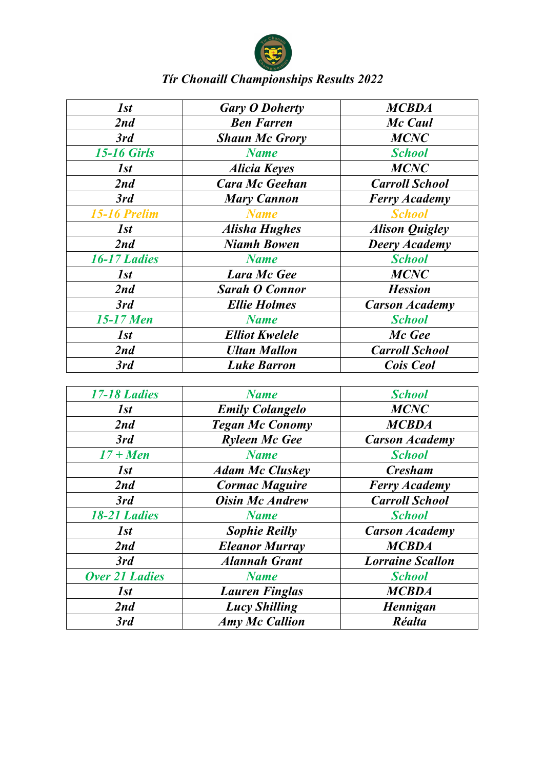

| 1st                 | <b>Gary O Doherty</b> | <b>MCBDA</b>          |
|---------------------|-----------------------|-----------------------|
| 2nd                 | <b>Ben Farren</b>     | Mc Caul               |
| 3rd                 | <b>Shaun Mc Grory</b> | <b>MCNC</b>           |
| <b>15-16 Girls</b>  | <b>Name</b>           | <b>School</b>         |
| 1st                 | <b>Alicia Keyes</b>   | <b>MCNC</b>           |
| 2nd                 | <b>Cara Mc Geehan</b> | <b>Carroll School</b> |
| 3rd                 | <b>Mary Cannon</b>    | <b>Ferry Academy</b>  |
| <b>15-16 Prelim</b> | <b>Name</b>           | <b>School</b>         |
| 1st                 | <b>Alisha Hughes</b>  | <b>Alison Quigley</b> |
| 2nd                 | <b>Niamh Bowen</b>    | <b>Deery Academy</b>  |
| <b>16-17 Ladies</b> | <b>Name</b>           | <b>School</b>         |
| 1st                 | <b>Lara Mc Gee</b>    | <b>MCNC</b>           |
| 2nd                 | <b>Sarah O Connor</b> | <b>Hession</b>        |
| 3rd                 | <b>Ellie Holmes</b>   | <b>Carson Academy</b> |
| 15-17 Men           | <b>Name</b>           | <b>School</b>         |
| 1st                 | <b>Elliot Kwelele</b> | Mc Gee                |
| 2nd                 | <b>Ultan Mallon</b>   | <b>Carroll School</b> |
| 3rd                 | <b>Luke Barron</b>    | Cois Ceol             |

| 17-18 Ladies          | <b>Name</b>            | <b>School</b>           |
|-----------------------|------------------------|-------------------------|
| 1st                   | <b>Emily Colangelo</b> | <b>MCNC</b>             |
| 2nd                   | <b>Tegan Mc Conomy</b> | <b>MCBDA</b>            |
| 3rd                   | <b>Ryleen Mc Gee</b>   | <b>Carson Academy</b>   |
| $17 +$ Men            | <b>Name</b>            | <b>School</b>           |
| 1st                   | <b>Adam Mc Cluskey</b> | <b>Cresham</b>          |
| 2nd                   | <b>Cormac Maguire</b>  | <b>Ferry Academy</b>    |
| 3rd                   | <b>Oisin Mc Andrew</b> | <b>Carroll School</b>   |
| <b>18-21 Ladies</b>   | <b>Name</b>            | <b>School</b>           |
| 1st                   | <b>Sophie Reilly</b>   | <b>Carson Academy</b>   |
| 2nd                   | <b>Eleanor Murray</b>  | <b>MCBDA</b>            |
| 3rd                   | <b>Alannah Grant</b>   | <b>Lorraine Scallon</b> |
| <b>Over 21 Ladies</b> | <b>Name</b>            | <b>School</b>           |
| 1st                   | <b>Lauren Finglas</b>  | <b>MCBDA</b>            |
| 2nd                   | <b>Lucy Shilling</b>   | Hennigan                |
| 3rd                   | <b>Amy Mc Callion</b>  | <b>Réalta</b>           |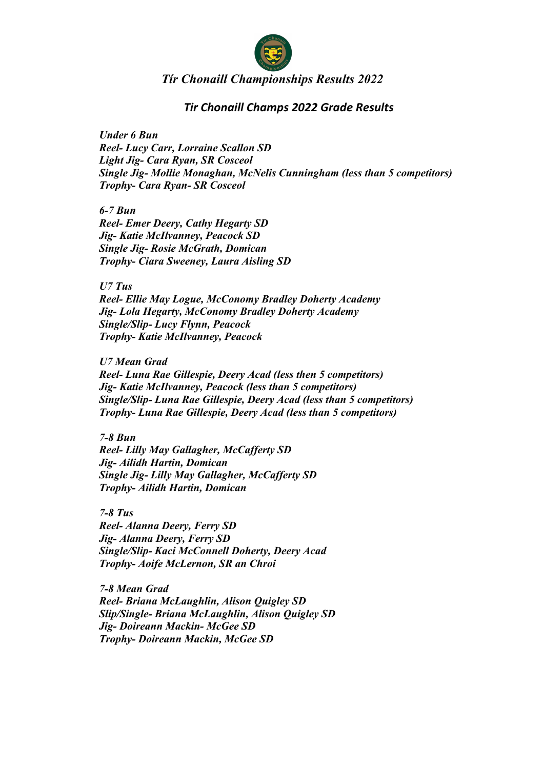

### *Tir Chonaill Champs 2022 Grade Results*

*Under 6 Bun Reel- Lucy Carr, Lorraine Scallon SD Light Jig- Cara Ryan, SR Cosceol Single Jig- Mollie Monaghan, McNelis Cunningham (less than 5 competitors) Trophy- Cara Ryan- SR Cosceol*

*6-7 Bun Reel- Emer Deery, Cathy Hegarty SD Jig- Katie McIlvanney, Peacock SD Single Jig- Rosie McGrath, Domican Trophy- Ciara Sweeney, Laura Aisling SD*

*U7 Tus*

*Reel- Ellie May Logue, McConomy Bradley Doherty Academy Jig- Lola Hegarty, McConomy Bradley Doherty Academy Single/Slip- Lucy Flynn, Peacock Trophy- Katie McIlvanney, Peacock*

*U7 Mean Grad*

*Reel- Luna Rae Gillespie, Deery Acad (less then 5 competitors) Jig- Katie McIlvanney, Peacock (less than 5 competitors) Single/Slip- Luna Rae Gillespie, Deery Acad (less than 5 competitors) Trophy- Luna Rae Gillespie, Deery Acad (less than 5 competitors)*

*7-8 Bun*

*Reel- Lilly May Gallagher, McCafferty SD Jig- Ailidh Hartin, Domican Single Jig- Lilly May Gallagher, McCafferty SD Trophy- Ailidh Hartin, Domican*

*7-8 Tus Reel- Alanna Deery, Ferry SD Jig- Alanna Deery, Ferry SD Single/Slip- Kaci McConnell Doherty, Deery Acad Trophy- Aoife McLernon, SR an Chroi*

*7-8 Mean Grad Reel- Briana McLaughlin, Alison Quigley SD Slip/Single- Briana McLaughlin, Alison Quigley SD Jig- Doireann Mackin- McGee SD Trophy- Doireann Mackin, McGee SD*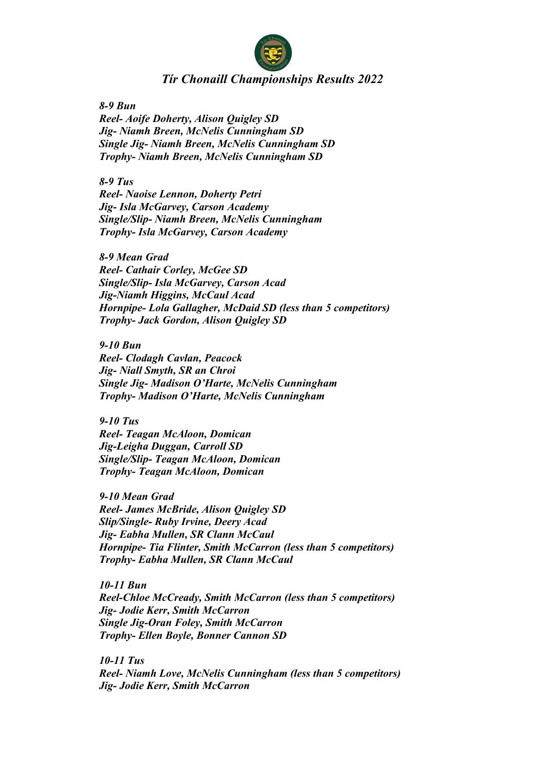

*8-9 Bun*

*Reel- Aoife Doherty, Alison Quigley SD Jig- Niamh Breen, McNelis Cunningham SD Single Jig- Niamh Breen, McNelis Cunningham SD Trophy- Niamh Breen, McNelis Cunningham SD*

*8-9 Tus Reel- Naoise Lennon, Doherty Petri Jig- Isla McGarvey, Carson Academy Single/Slip- Niamh Breen, McNelis Cunningham Trophy- Isla McGarvey, Carson Academy*

*8-9 Mean Grad Reel- Cathair Corley, McGee SD Single/Slip- Isla McGarvey, Carson Acad Jig-Niamh Higgins, McCaul Acad Hornpipe- Lola Gallagher, McDaid SD (less than 5 competitors) Trophy- Jack Gordon, Alison Quigley SD*

*9-10 Bun Reel- Clodagh Cavlan, Peacock Jig- Niall Smyth, SR an Chroi Single Jig- Madison O'Harte, McNelis Cunningham Trophy- Madison O'Harte, McNelis Cunningham*

*9-10 Tus Reel- Teagan McAloon, Domican Jig-Leigha Duggan, Carroll SD Single/Slip- Teagan McAloon, Domican Trophy- Teagan McAloon, Domican*

*9-10 Mean Grad Reel- James McBride, Alison Quigley SD Slip/Single- Ruby Irvine, Deery Acad Jig- Eabha Mullen, SR Clann McCaul Hornpipe- Tia Flinter, Smith McCarron (less than 5 competitors) Trophy- Eabha Mullen, SR Clann McCaul*

*10-11 Bun Reel-Chloe McCready, Smith McCarron (less than 5 competitors) Jig- Jodie Kerr, Smith McCarron Single Jig-Oran Foley, Smith McCarron Trophy- Ellen Boyle, Bonner Cannon SD*

*10-11 Tus Reel- Niamh Love, McNelis Cunningham (less than 5 competitors) Jig- Jodie Kerr, Smith McCarron*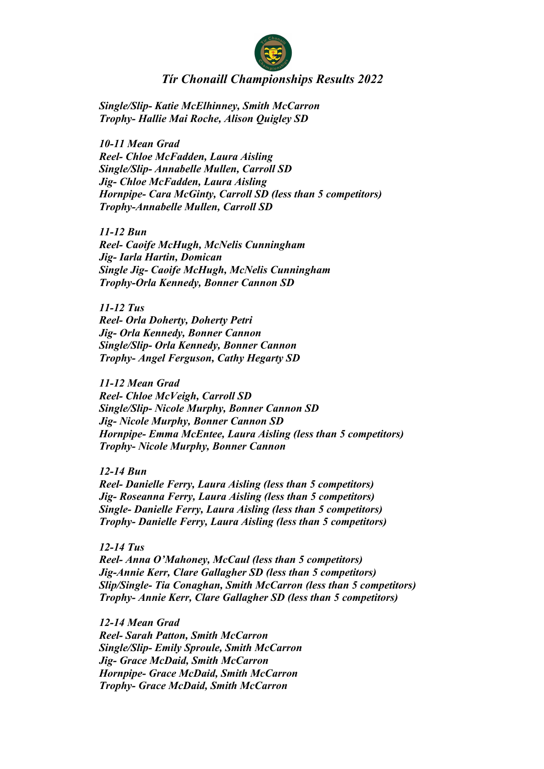

*Single/Slip- Katie McElhinney, Smith McCarron Trophy- Hallie Mai Roche, Alison Quigley SD*

*10-11 Mean Grad Reel- Chloe McFadden, Laura Aisling Single/Slip- Annabelle Mullen, Carroll SD Jig- Chloe McFadden, Laura Aisling Hornpipe- Cara McGinty, Carroll SD (less than 5 competitors) Trophy-Annabelle Mullen, Carroll SD*

*11-12 Bun Reel- Caoife McHugh, McNelis Cunningham Jig- Iarla Hartin, Domican Single Jig- Caoife McHugh, McNelis Cunningham Trophy-Orla Kennedy, Bonner Cannon SD*

*11-12 Tus Reel- Orla Doherty, Doherty Petri Jig- Orla Kennedy, Bonner Cannon Single/Slip- Orla Kennedy, Bonner Cannon Trophy- Angel Ferguson, Cathy Hegarty SD*

*11-12 Mean Grad Reel- Chloe McVeigh, Carroll SD Single/Slip- Nicole Murphy, Bonner Cannon SD Jig- Nicole Murphy, Bonner Cannon SD Hornpipe- Emma McEntee, Laura Aisling (less than 5 competitors) Trophy- Nicole Murphy, Bonner Cannon*

*12-14 Bun Reel- Danielle Ferry, Laura Aisling (less than 5 competitors) Jig- Roseanna Ferry, Laura Aisling (less than 5 competitors) Single- Danielle Ferry, Laura Aisling (less than 5 competitors) Trophy- Danielle Ferry, Laura Aisling (less than 5 competitors)*

*12-14 Tus Reel- Anna O'Mahoney, McCaul (less than 5 competitors) Jig-Annie Kerr, Clare Gallagher SD (less than 5 competitors) Slip/Single- Tia Conaghan, Smith McCarron (less than 5 competitors) Trophy- Annie Kerr, Clare Gallagher SD (less than 5 competitors)*

*12-14 Mean Grad Reel- Sarah Patton, Smith McCarron Single/Slip- Emily Sproule, Smith McCarron Jig- Grace McDaid, Smith McCarron Hornpipe- Grace McDaid, Smith McCarron Trophy- Grace McDaid, Smith McCarron*